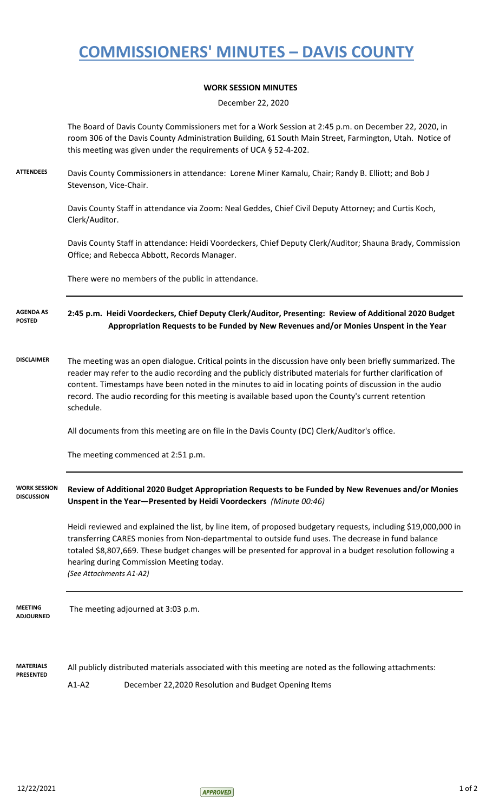## **COMMISSIONERS' MINUTES – DAVIS COUNTY**

## **WORK SESSION MINUTES**

December 22, 2020

The Board of Davis County Commissioners met for a Work Session at 2:45 p.m. on December 22, 2020, in room 306 of the Davis County Administration Building, 61 South Main Street, Farmington, Utah. Notice of this meeting was given under the requirements of UCA § 52-4-202.

**ATTENDEES** Davis County Commissioners in attendance: Lorene Miner Kamalu, Chair; Randy B. Elliott; and Bob J Stevenson, Vice-Chair.

> Davis County Staff in attendance via Zoom: Neal Geddes, Chief Civil Deputy Attorney; and Curtis Koch, Clerk/Auditor.

Davis County Staff in attendance: Heidi Voordeckers, Chief Deputy Clerk/Auditor; Shauna Brady, Commission Office; and Rebecca Abbott, Records Manager.

There were no members of the public in attendance.

**2:45 p.m. Heidi Voordeckers, Chief Deputy Clerk/Auditor, Presenting: Review of Additional 2020 Budget Appropriation Requests to be Funded by New Revenues and/or Monies Unspent in the Year AGENDA AS POSTED**

**DISCLAIMER** The meeting was an open dialogue. Critical points in the discussion have only been briefly summarized. The reader may refer to the audio recording and the publicly distributed materials for further clarification of content. Timestamps have been noted in the minutes to aid in locating points of discussion in the audio record. The audio recording for this meeting is available based upon the County's current retention schedule.

All documents from this meeting are on file in the Davis County (DC) Clerk/Auditor's office.

The meeting commenced at 2:51 p.m.

## **Review of Additional 2020 Budget Appropriation Requests to be Funded by New Revenues and/or Monies Unspent in the Year—Presented by Heidi Voordeckers** *(Minute 00:46)* **WORK SESSION DISCUSSION**

Heidi reviewed and explained the list, by line item, of proposed budgetary requests, including \$19,000,000 in transferring CARES monies from Non-departmental to outside fund uses. The decrease in fund balance totaled \$8,807,669. These budget changes will be presented for approval in a budget resolution following a hearing during Commission Meeting today. *(See Attachments A1-A2)*

 The meeting adjourned at 3:03 p.m. **MEETING ADJOURNED**

**MATERIALS PRESENTED** All publicly distributed materials associated with this meeting are noted as the following attachments: A1-A2 December 22,2020 Resolution and Budget Opening Items